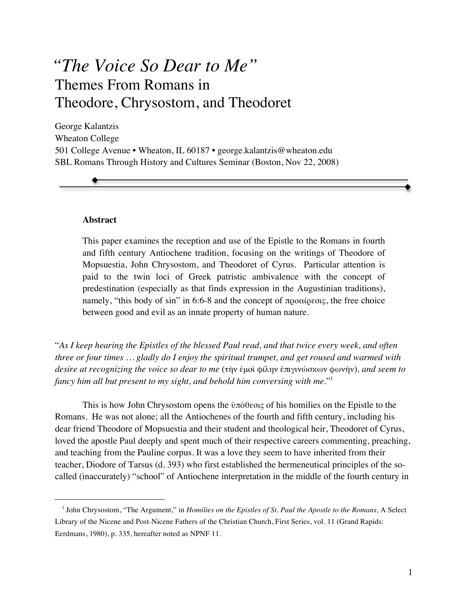# *"The Voice So Dear to Me"* Themes From Romans in Theodore, Chrysostom, and Theodoret

George Kalantzis Wheaton College 501 College Avenue • Wheaton, IL 60187 • george.kalantzis@wheaton.edu SBL Romans Through History and Cultures Seminar (Boston, Nov 22, 2008)

# **Abstract**

 $\overline{a}$ 

This paper examines the reception and use of the Epistle to the Romans in fourth and fifth century Antiochene tradition, focusing on the writings of Theodore of Mopsuestia, John Chrysostom, and Theodoret of Cyrus. Particular attention is paid to the twin loci of Greek patristic ambivalence with the concept of predestination (especially as that finds expression in the Augustinian traditions), namely, "this body of sin" in 6:6-8 and the concept of προαίρεσις, the free choice between good and evil as an innate property of human nature.

"*As I keep hearing the Epistles of the blessed Paul read, and that twice every week, and often three or four times … gladly do I enjoy the spiritual trumpet, and get roused and warmed with desire at recognizing the voice so dear to me* (τὴν ἐμοὶ φίλην ἐπιγινώσκων φωνήν)*, and seem to fancy him all but present to my sight, and behold him conversing with me*."1

This is how John Chrysostom opens the ὑπόθεσις of his homilies on the Epistle to the Romans. He was not alone; all the Antiochenes of the fourth and fifth century, including his dear friend Theodore of Mopsuestia and their student and theological heir, Theodoret of Cyrus, loved the apostle Paul deeply and spent much of their respective careers commenting, preaching, and teaching from the Pauline corpus. It was a love they seem to have inherited from their teacher, Diodore of Tarsus (d. 393) who first established the hermeneutical principles of the socalled (inaccurately) "school" of Antiochene interpretation in the middle of the fourth century in

<sup>&</sup>lt;sup>1</sup> John Chrysostom, "The Argument," in *Homilies on the Epistles of St. Paul the Apostle to the Romans*, A Select Library of the Nicene and Post-Nicene Fathers of the Christian Church, First Series, vol. 11 (Grand Rapids: Eerdmans, 1980), p. 335, hereafter noted as NPNF 11.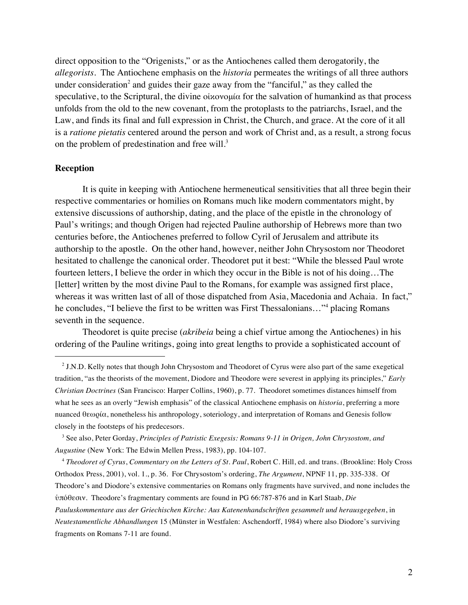direct opposition to the "Origenists," or as the Antiochenes called them derogatorily, the *allegorists*. The Antiochene emphasis on the *historia* permeates the writings of all three authors under consideration<sup>2</sup> and guides their gaze away from the "fanciful," as they called the speculative, to the Scriptural, the divine οἱκονομία for the salvation of humankind as that process unfolds from the old to the new covenant, from the protoplasts to the patriarchs, Israel, and the Law, and finds its final and full expression in Christ, the Church, and grace. At the core of it all is a *ratione pietatis* centered around the person and work of Christ and, as a result, a strong focus on the problem of predestination and free will.<sup>3</sup>

# **Reception**

 $\overline{a}$ 

It is quite in keeping with Antiochene hermeneutical sensitivities that all three begin their respective commentaries or homilies on Romans much like modern commentators might, by extensive discussions of authorship, dating, and the place of the epistle in the chronology of Paul's writings; and though Origen had rejected Pauline authorship of Hebrews more than two centuries before, the Antiochenes preferred to follow Cyril of Jerusalem and attribute its authorship to the apostle. On the other hand, however, neither John Chrysostom nor Theodoret hesitated to challenge the canonical order. Theodoret put it best: "While the blessed Paul wrote fourteen letters, I believe the order in which they occur in the Bible is not of his doing…The [letter] written by the most divine Paul to the Romans, for example was assigned first place, whereas it was written last of all of those dispatched from Asia, Macedonia and Achaia. In fact," he concludes, "I believe the first to be written was First Thessalonians..."<sup>4</sup> placing Romans seventh in the sequence.

Theodoret is quite precise (*akribeia* being a chief virtue among the Antiochenes) in his ordering of the Pauline writings, going into great lengths to provide a sophisticated account of

<sup>4</sup> *Theodoret of Cyrus*, *Commentary on the Letters of St. Paul*, Robert C. Hill, ed. and trans. (Brookline: Holy Cross Orthodox Press, 2001), vol. 1., p. 36. For Chrysostom's ordering, *The Argument*, NPNF 11, pp. 335-338. Of Theodore's and Diodore's extensive commentaries on Romans only fragments have survived, and none includes the ὑπόθεσιν. Theodore's fragmentary comments are found in PG 66:787-876 and in Karl Staab, *Die Pauluskommentare aus der Griechischen Kirche: Aus Katenenhandschriften gesammelt und herausgegeben*, in *Neutestamentliche Abhandlungen* 15 (Münster in Westfalen: Aschendorff, 1984) where also Diodore's surviving fragments on Romans 7-11 are found.

 $2$  J.N.D. Kelly notes that though John Chrysostom and Theodoret of Cyrus were also part of the same exegetical tradition, "as the theorists of the movement, Diodore and Theodore were severest in applying its principles," *Early Christian Doctrines* (San Francisco: Harper Collins, 1960), p. 77. Theodoret sometimes distances himself from what he sees as an overly "Jewish emphasis" of the classical Antiochene emphasis on *historia*, preferring a more nuanced θεωρία, nonetheless his anthropology, soteriology, and interpretation of Romans and Genesis follow closely in the footsteps of his predecesors.

<sup>3</sup> See also, Peter Gorday, *Principles of Patristic Exegesis: Romans 9-11 in Origen, John Chrysostom, and Augustine* (New York: The Edwin Mellen Press, 1983), pp. 104-107.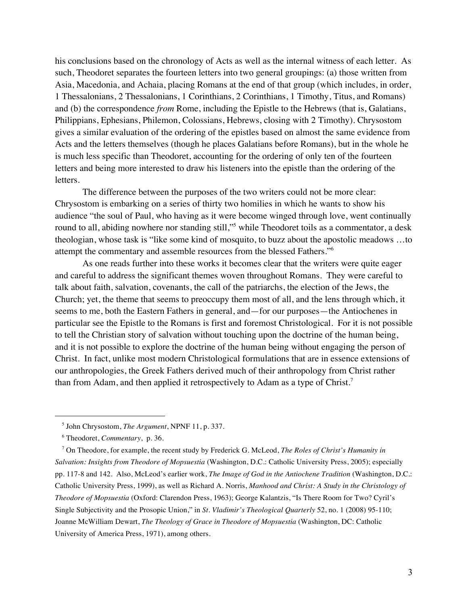his conclusions based on the chronology of Acts as well as the internal witness of each letter. As such, Theodoret separates the fourteen letters into two general groupings: (a) those written from Asia, Macedonia, and Achaia, placing Romans at the end of that group (which includes, in order, 1 Thessalonians, 2 Thessalonians, 1 Corinthians, 2 Corinthians, 1 Timothy, Titus, and Romans) and (b) the correspondence *from* Rome, including the Epistle to the Hebrews (that is, Galatians, Philippians, Ephesians, Philemon, Colossians, Hebrews, closing with 2 Timothy). Chrysostom gives a similar evaluation of the ordering of the epistles based on almost the same evidence from Acts and the letters themselves (though he places Galatians before Romans), but in the whole he is much less specific than Theodoret, accounting for the ordering of only ten of the fourteen letters and being more interested to draw his listeners into the epistle than the ordering of the letters.

The difference between the purposes of the two writers could not be more clear: Chrysostom is embarking on a series of thirty two homilies in which he wants to show his audience "the soul of Paul, who having as it were become winged through love, went continually round to all, abiding nowhere nor standing still,"<sup>5</sup> while Theodoret toils as a commentator, a desk theologian, whose task is "like some kind of mosquito, to buzz about the apostolic meadows …to attempt the commentary and assemble resources from the blessed Fathers."6

As one reads further into these works it becomes clear that the writers were quite eager and careful to address the significant themes woven throughout Romans. They were careful to talk about faith, salvation, covenants, the call of the patriarchs, the election of the Jews, the Church; yet, the theme that seems to preoccupy them most of all, and the lens through which, it seems to me, both the Eastern Fathers in general, and—for our purposes—the Antiochenes in particular see the Epistle to the Romans is first and foremost Christological. For it is not possible to tell the Christian story of salvation without touching upon the doctrine of the human being, and it is not possible to explore the doctrine of the human being without engaging the person of Christ. In fact, unlike most modern Christological formulations that are in essence extensions of our anthropologies, the Greek Fathers derived much of their anthropology from Christ rather than from Adam, and then applied it retrospectively to Adam as a type of Christ.<sup>7</sup>

<sup>5</sup> John Chrysostom, *The Argument*, NPNF 11, p. 337.

<sup>6</sup> Theodoret, *Commentary*, p. 36.

<sup>7</sup> On Theodore, for example, the recent study by Frederick G. McLeod, *The Roles of Christ's Humanity in Salvation: Insights from Theodore of Mopsuestia* (Washington, D.C.: Catholic University Press, 2005); especially pp. 117-8 and 142. Also, McLeod's earlier work, *The Image of God in the Antiochene Tradition* (Washington, D.C.: Catholic University Press, 1999), as well as Richard A. Norris, *Manhood and Christ: A Study in the Christology of Theodore of Mopsuestia* (Oxford: Clarendon Press, 1963); George Kalantzis, "Is There Room for Two? Cyril's Single Subjectivity and the Prosopic Union," in *St. Vladimir's Theological Quarterly* 52, no. 1 (2008) 95-110; Joanne McWilliam Dewart, *The Theology of Grace in Theodore of Mopsuestia* (Washington, DC: Catholic University of America Press, 1971), among others.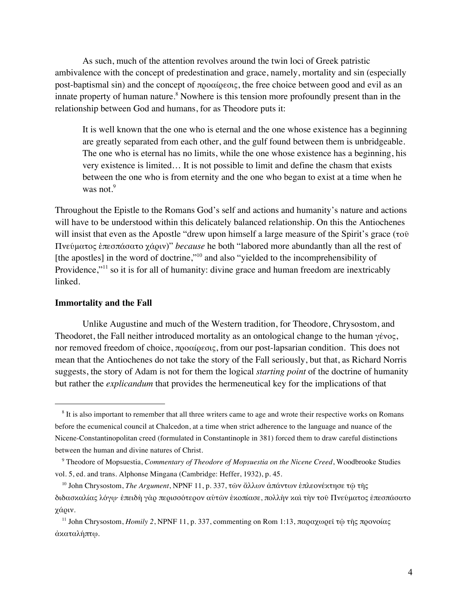As such, much of the attention revolves around the twin loci of Greek patristic ambivalence with the concept of predestination and grace, namely, mortality and sin (especially post-baptismal sin) and the concept of προαίρεσις, the free choice between good and evil as an innate property of human nature.<sup>8</sup> Nowhere is this tension more profoundly present than in the relationship between God and humans, for as Theodore puts it:

It is well known that the one who is eternal and the one whose existence has a beginning are greatly separated from each other, and the gulf found between them is unbridgeable. The one who is eternal has no limits, while the one whose existence has a beginning, his very existence is limited… It is not possible to limit and define the chasm that exists between the one who is from eternity and the one who began to exist at a time when he was not. $9$ 

Throughout the Epistle to the Romans God's self and actions and humanity's nature and actions will have to be understood within this delicately balanced relationship. On this the Antiochenes will insist that even as the Apostle "drew upon himself a large measure of the Spirit's grace (τοῦ Πνεύματος ἐπεσπάσατο χάριν)" *because* he both "labored more abundantly than all the rest of [the apostles] in the word of doctrine,"<sup>10</sup> and also "yielded to the incomprehensibility of Providence,"<sup>11</sup> so it is for all of humanity: divine grace and human freedom are inextricably linked.

#### **Immortality and the Fall**

 $\overline{a}$ 

Unlike Augustine and much of the Western tradition, for Theodore, Chrysostom, and Theodoret, the Fall neither introduced mortality as an ontological change to the human γένος, nor removed freedom of choice, προαίρεσις, from our post-lapsarian condition. This does not mean that the Antiochenes do not take the story of the Fall seriously, but that, as Richard Norris suggests, the story of Adam is not for them the logical *starting point* of the doctrine of humanity but rather the *explicandum* that provides the hermeneutical key for the implications of that

<sup>&</sup>lt;sup>8</sup> It is also important to remember that all three writers came to age and wrote their respective works on Romans before the ecumenical council at Chalcedon, at a time when strict adherence to the language and nuance of the Nicene-Constantinopolitan creed (formulated in Constantinople in 381) forced them to draw careful distinctions between the human and divine natures of Christ.

<sup>9</sup> Theodore of Mopsuestia, *Commentary of Theodore of Mopsuestia on the Nicene Creed*, Woodbrooke Studies vol. 5, ed. and trans. Alphonse Mingana (Cambridge: Heffer, 1932), p. 45.

<sup>10</sup> John Chrysostom, *The Argument*, NPNF 11, p. 337, τῶν ἄλλων ἁπάντων ἐπλεονέκτησε τῷ τῆς διδασκαλίας λόγῳ· ἐπειδὴ γὰρ περισσότερον αὐτῶν ἐκοπίασε, πολλὴν καὶ τὴν τοῦ Πνεύματος ἐπεσπάσατο χάριν.

<sup>&</sup>lt;sup>11</sup> John Chrysostom, *Homily 2*, NPNF 11, p. 337, commenting on Rom 1:13, παραχωρεῖ τῷ τῆς προνοίας ἀκαταλήπτῳ.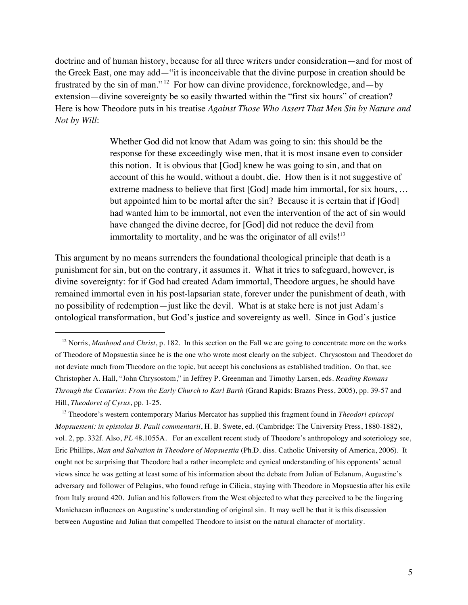doctrine and of human history, because for all three writers under consideration—and for most of the Greek East, one may add—"it is inconceivable that the divine purpose in creation should be frustrated by the sin of man." 12 For how can divine providence, foreknowledge, and—by extension—divine sovereignty be so easily thwarted within the "first six hours" of creation? Here is how Theodore puts in his treatise *Against Those Who Assert That Men Sin by Nature and Not by Will*:

> Whether God did not know that Adam was going to sin: this should be the response for these exceedingly wise men, that it is most insane even to consider this notion. It is obvious that [God] knew he was going to sin, and that on account of this he would, without a doubt, die. How then is it not suggestive of extreme madness to believe that first [God] made him immortal, for six hours, ... but appointed him to be mortal after the sin? Because it is certain that if [God] had wanted him to be immortal, not even the intervention of the act of sin would have changed the divine decree, for [God] did not reduce the devil from immortality to mortality, and he was the originator of all evils! $13$

This argument by no means surrenders the foundational theological principle that death is a punishment for sin, but on the contrary, it assumes it. What it tries to safeguard, however, is divine sovereignty: for if God had created Adam immortal, Theodore argues, he should have remained immortal even in his post-lapsarian state, forever under the punishment of death, with no possibility of redemption—just like the devil. What is at stake here is not just Adam's ontological transformation, but God's justice and sovereignty as well. Since in God's justice

 $\overline{a}$ 

13 Theodore's western contemporary Marius Mercator has supplied this fragment found in *Theodori episcopi Mopsuesteni: in epistolas B. Pauli commentarii*, H. B. Swete, ed. (Cambridge: The University Press, 1880-1882), vol. 2, pp. 332f. Also, *PL* 48.1055A. For an excellent recent study of Theodore's anthropology and soteriology see, Eric Phillips, *Man and Salvation in Theodore of Mopsuestia* (Ph.D. diss. Catholic University of America, 2006). It ought not be surprising that Theodore had a rather incomplete and cynical understanding of his opponents' actual views since he was getting at least some of his information about the debate from Julian of Eclanum, Augustine's adversary and follower of Pelagius, who found refuge in Cilicia, staying with Theodore in Mopsuestia after his exile from Italy around 420. Julian and his followers from the West objected to what they perceived to be the lingering Manichaean influences on Augustine's understanding of original sin. It may well be that it is this discussion between Augustine and Julian that compelled Theodore to insist on the natural character of mortality.

<sup>&</sup>lt;sup>12</sup> Norris, *Manhood and Christ*, p. 182. In this section on the Fall we are going to concentrate more on the works of Theodore of Mopsuestia since he is the one who wrote most clearly on the subject. Chrysostom and Theodoret do not deviate much from Theodore on the topic, but accept his conclusions as established tradition. On that, see Christopher A. Hall, "John Chrysostom," in Jeffrey P. Greenman and Timothy Larsen, eds. *Reading Romans Through the Centuries: From the Early Church to Karl Barth* (Grand Rapids: Brazos Press, 2005), pp. 39-57 and Hill, *Theodoret of Cyrus*, pp. 1-25.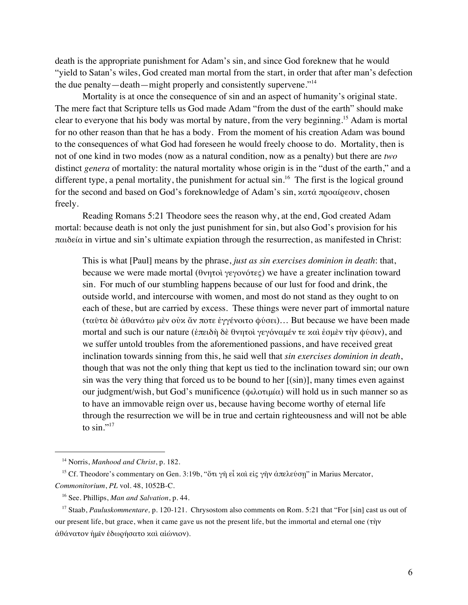death is the appropriate punishment for Adam's sin, and since God foreknew that he would "yield to Satan's wiles, God created man mortal from the start, in order that after man's defection the due penalty—death—might properly and consistently supervene."<sup>14</sup>

Mortality is at once the consequence of sin and an aspect of humanity's original state. The mere fact that Scripture tells us God made Adam "from the dust of the earth" should make clear to everyone that his body was mortal by nature, from the very beginning.15 Adam is mortal for no other reason than that he has a body. From the moment of his creation Adam was bound to the consequences of what God had foreseen he would freely choose to do. Mortality, then is not of one kind in two modes (now as a natural condition, now as a penalty) but there are *two* distinct *genera* of mortality: the natural mortality whose origin is in the "dust of the earth," and a different type, a penal mortality, the punishment for actual  $\sin^{16}$ . The first is the logical ground for the second and based on God's foreknowledge of Adam's sin, κατά προαίρεσιν, chosen freely.

Reading Romans 5:21 Theodore sees the reason why, at the end, God created Adam mortal: because death is not only the just punishment for sin, but also God's provision for his παιδεία in virtue and sin's ultimate expiation through the resurrection, as manifested in Christ:

This is what [Paul] means by the phrase, *just as sin exercises dominion in death*: that, because we were made mortal (θνητοὶ γεγονότες) we have a greater inclination toward sin. For much of our stumbling happens because of our lust for food and drink, the outside world, and intercourse with women, and most do not stand as they ought to on each of these, but are carried by excess. These things were never part of immortal nature (ταῦτα δὲ ἀθανάτω μὲν οὐκ ἄν ποτε ἐγγένοιτο φύσει)… But because we have been made mortal and such is our nature (ἐπειδὴ δὲ θνητοὶ γεγόναμέν τε καὶ ἐσμὲν τὴν φύσιν), and we suffer untold troubles from the aforementioned passions, and have received great inclination towards sinning from this, he said well that *sin exercises dominion in death*, though that was not the only thing that kept us tied to the inclination toward sin; our own sin was the very thing that forced us to be bound to her  $[(sin)]$ , many times even against our judgment/wish, but God's munificence (φιλοτιμία) will hold us in such manner so as to have an immovable reign over us, because having become worthy of eternal life through the resurrection we will be in true and certain righteousness and will not be able to  $\sin$ ."17

<sup>14</sup> Norris, *Manhood and Christ*, p. 182.

<sup>&</sup>lt;sup>15</sup> Cf. Theodore's commentary on Gen. 3:19b, "ὅτι γῆ εἶ καὶ εἰς γῆν ἀπελεύσῃ" in Marius Mercator, *Commonitorium*, *PL* vol. 48, 1052B-C.

<sup>16</sup> See. Phillips, *Man and Salvation*, p. 44.

<sup>17</sup> Staab, *Pauluskommentare,* p. 120-121. Chrysostom also comments on Rom. 5:21 that "For [sin] cast us out of our present life, but grace, when it came gave us not the present life, but the immortal and eternal one (τὴν ἀθάνατον ἡμῖν ἐδωρήσατο καὶ αἰώνιον).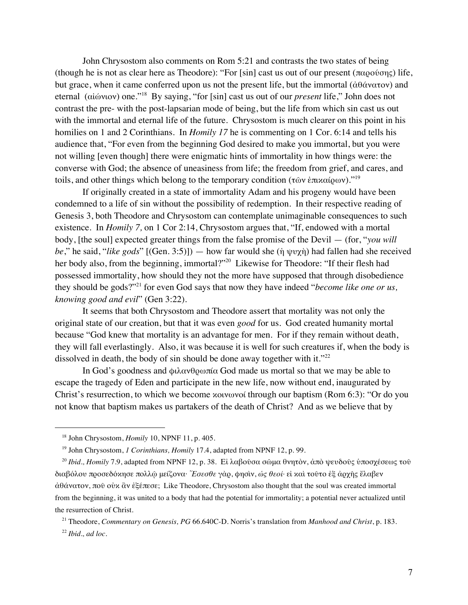John Chrysostom also comments on Rom 5:21 and contrasts the two states of being (though he is not as clear here as Theodore): "For [sin] cast us out of our present (παρούσης) life, but grace, when it came conferred upon us not the present life, but the immortal (ἀθάνατον) and eternal (αἰώνιον) one."18 By saying, "for [sin] cast us out of our *present* life," John does not contrast the pre- with the post-lapsarian mode of being, but the life from which sin cast us out with the immortal and eternal life of the future. Chrysostom is much clearer on this point in his homilies on 1 and 2 Corinthians. In *Homily 17* he is commenting on 1 Cor. 6:14 and tells his audience that, "For even from the beginning God desired to make you immortal, but you were not willing [even though] there were enigmatic hints of immortality in how things were: the converse with God; the absence of uneasiness from life; the freedom from grief, and cares, and toils, and other things which belong to the temporary condition (τῶν ἐπικαίρων).<sup>"19</sup>

If originally created in a state of immortality Adam and his progeny would have been condemned to a life of sin without the possibility of redemption. In their respective reading of Genesis 3, both Theodore and Chrysostom can contemplate unimaginable consequences to such existence. In *Homily 7,* on 1 Cor 2:14, Chrysostom argues that, "If, endowed with a mortal body, [the soul] expected greater things from the false promise of the Devil — (for, "*you will be*," he said, "*like gods*" [(Gen. 3:5)]) — how far would she (ἡ ψυχὴ) had fallen had she received her body also, from the beginning, immortal?"<sup>20</sup> Likewise for Theodore: "If their flesh had possessed immortality, how should they not the more have supposed that through disobedience they should be gods?"21 for even God says that now they have indeed "*become like one or us, knowing good and evil*" (Gen 3:22).

It seems that both Chrysostom and Theodore assert that mortality was not only the original state of our creation, but that it was even *good* for us. God created humanity mortal because "God knew that mortality is an advantage for men. For if they remain without death, they will fall everlastingly. Also, it was because it is well for such creatures if, when the body is dissolved in death, the body of sin should be done away together with it."<sup>22</sup>

In God's goodness and φιλανθρωπία God made us mortal so that we may be able to escape the tragedy of Eden and participate in the new life, now without end, inaugurated by Christ's resurrection, to which we become κοινωνοί through our baptism (Rom 6:3): "Or do you not know that baptism makes us partakers of the death of Christ? And as we believe that by

<sup>18</sup> John Chrysostom, *Homily* 10, NPNF 11, p. 405.

<sup>19</sup> John Chrysostom, *1 Corinthians, Homily* 17.4, adapted from NPNF 12, p. 99.

<sup>20</sup> *Ibid., Homily* 7.9, adapted from NPNF 12, p. 38. Εἰ λαβοῦσα σῶμα θνητὸν, ἀπὸ ψευδοῦς ὑποσχέσεως τοῦ διαβόλου προσεδόκησε πολλῷ μείζονα· *Ἔσεσθε* γὰρ, φησὶν, *ὡς θεοί·* εἰ καὶ τοῦτο ἐξ ἀρχῆς ἔλαβεν ἀθάνατον, ποῦ οὐκ ἂν ἐξέπεσε; Like Theodore, Chrysostom also thought that the soul was created immortal from the beginning, it was united to a body that had the potential for immortality; a potential never actualized until the resurrection of Christ.

<sup>21</sup> Theodore, *Commentary on Genesis, PG* 66.640C-D. Norris's translation from *Manhood and Christ*, p. 183. <sup>22</sup> *Ibid., ad loc.*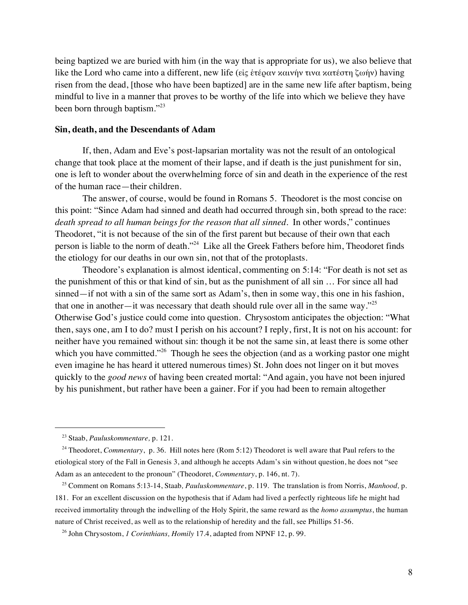being baptized we are buried with him (in the way that is appropriate for us), we also believe that like the Lord who came into a different, new life (εἰς ἑτέραν καινήν τινα κατέστη ζωήν) having risen from the dead, [those who have been baptized] are in the same new life after baptism, being mindful to live in a manner that proves to be worthy of the life into which we believe they have been born through baptism."<sup>23</sup>

#### **Sin, death, and the Descendants of Adam**

If, then, Adam and Eve's post-lapsarian mortality was not the result of an ontological change that took place at the moment of their lapse, and if death is the just punishment for sin, one is left to wonder about the overwhelming force of sin and death in the experience of the rest of the human race—their children.

The answer, of course, would be found in Romans 5. Theodoret is the most concise on this point: "Since Adam had sinned and death had occurred through sin, both spread to the race: *death spread to all human beings for the reason that all sinned.* In other words," continues Theodoret, "it is not because of the sin of the first parent but because of their own that each person is liable to the norm of death."24 Like all the Greek Fathers before him, Theodoret finds the etiology for our deaths in our own sin, not that of the protoplasts.

Theodore's explanation is almost identical, commenting on 5:14: "For death is not set as the punishment of this or that kind of sin, but as the punishment of all sin … For since all had sinned—if not with a sin of the same sort as Adam's, then in some way, this one in his fashion, that one in another—it was necessary that death should rule over all in the same way."<sup>25</sup> Otherwise God's justice could come into question. Chrysostom anticipates the objection: "What then, says one, am I to do? must I perish on his account? I reply, first, It is not on his account: for neither have you remained without sin: though it be not the same sin, at least there is some other which you have committed."<sup>26</sup> Though he sees the objection (and as a working pastor one might even imagine he has heard it uttered numerous times) St. John does not linger on it but moves quickly to the *good news* of having been created mortal: "And again, you have not been injured by his punishment, but rather have been a gainer. For if you had been to remain altogether

<sup>23</sup> Staab, *Pauluskommentare,* p. 121.

<sup>&</sup>lt;sup>24</sup> Theodoret, *Commentary*, p. 36. Hill notes here (Rom 5:12) Theodoret is well aware that Paul refers to the etiological story of the Fall in Genesis 3, and although he accepts Adam's sin without question, he does not "see Adam as an antecedent to the pronoun" (Theodoret, *Commentary*, p. 146, nt. 7).

<sup>25</sup> Comment on Romans 5:13-14, Staab*, Pauluskommentare*, p. 119. The translation is from Norris, *Manhood,* p. 181. For an excellent discussion on the hypothesis that if Adam had lived a perfectly righteous life he might had received immortality through the indwelling of the Holy Spirit, the same reward as the *homo assumptus*, the human nature of Christ received, as well as to the relationship of heredity and the fall, see Phillips 51-56.

<sup>26</sup> John Chrysostom, *1 Corinthians, Homily* 17.4, adapted from NPNF 12, p. 99.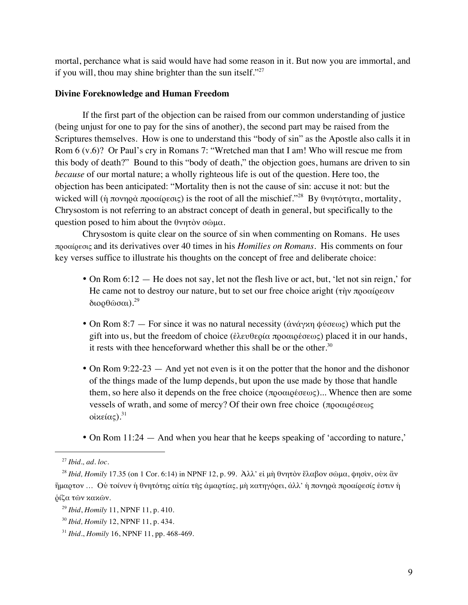mortal, perchance what is said would have had some reason in it. But now you are immortal, and if you will, thou may shine brighter than the sun itself." $27$ 

# **Divine Foreknowledge and Human Freedom**

If the first part of the objection can be raised from our common understanding of justice (being unjust for one to pay for the sins of another), the second part may be raised from the Scriptures themselves. How is one to understand this "body of sin" as the Apostle also calls it in Rom 6 (v.6)? Or Paul's cry in Romans 7: "Wretched man that I am! Who will rescue me from this body of death?" Bound to this "body of death," the objection goes, humans are driven to sin *because* of our mortal nature; a wholly righteous life is out of the question. Here too, the objection has been anticipated: "Mortality then is not the cause of sin: accuse it not: but the wicked will (ή πονηρά προαίρεσις) is the root of all the mischief.<sup>228</sup> By θνητότητα, mortality, Chrysostom is not referring to an abstract concept of death in general, but specifically to the question posed to him about the θνητὸν σῶμα.

Chrysostom is quite clear on the source of sin when commenting on Romans. He uses προαίρεσις and its derivatives over 40 times in his *Homilies on Romans*. His comments on four key verses suffice to illustrate his thoughts on the concept of free and deliberate choice:

- On Rom 6:12 He does not say, let not the flesh live or act, but, 'let not sin reign,' for He came not to destroy our nature, but to set our free choice aright (τὴν προαίρεσιν διορθώσαι).<sup>29</sup>
- On Rom 8:7 For since it was no natural necessity ( $\dot{\alpha}$ νάγκη φύσεως) which put the gift into us, but the freedom of choice (ἐλευθερία προαιρέσεως) placed it in our hands, it rests with thee henceforward whether this shall be or the other. $30$
- On Rom 9:22-23 And yet not even is it on the potter that the honor and the dishonor of the things made of the lump depends, but upon the use made by those that handle them, so here also it depends on the free choice (προαιρέσεως)... Whence then are some vessels of wrath, and some of mercy? Of their own free choice (προαιρέσεως οἰκείας).  $31$
- On Rom 11:24 And when you hear that he keeps speaking of 'according to nature,'

<sup>27</sup> *Ibid., ad. loc.*

<sup>28</sup> *Ibid, Homily* 17.35 (on 1 Cor. 6:14) in NPNF 12, p. 99. Ἀλλ' εἰ μὴ θνητὸν ἔλαβον σῶμα, φησὶν, οὐκ ἂν ἥμαρτον … Οὐ τοίνυν ἡ θνητότης αἰτία τῆς ἁμαρτίας, μὴ κατηγόρει, ἀλλ' ἡ πονηρὰ προαίρεσίς ἐστιν ἡ ῥίζα τῶν κακῶν.

<sup>29</sup> *Ibid*, *Homily* 11, NPNF 11, p. 410.

<sup>30</sup> *Ibid, Homily* 12, NPNF 11, p. 434.

<sup>31</sup> *Ibid*., *Homily* 16, NPNF 11, pp. 468-469.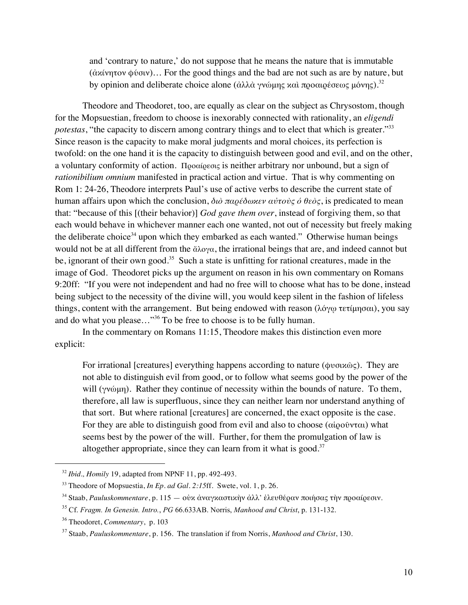and 'contrary to nature,' do not suppose that he means the nature that is immutable (ἀκίνητον φύσιν)… For the good things and the bad are not such as are by nature, but by opinion and deliberate choice alone (ἀλλὰ γνώμης καὶ προαιρέσεως μόνης).<sup>32</sup>

Theodore and Theodoret, too, are equally as clear on the subject as Chrysostom, though for the Mopsuestian, freedom to choose is inexorably connected with rationality, an *eligendi potestas*, "the capacity to discern among contrary things and to elect that which is greater."<sup>33</sup> Since reason is the capacity to make moral judgments and moral choices, its perfection is twofold: on the one hand it is the capacity to distinguish between good and evil, and on the other, a voluntary conformity of action. Προαίρεσις is neither arbitrary nor unbound, but a sign of *rationibilium omnium* manifested in practical action and virtue. That is why commenting on Rom 1: 24-26, Theodore interprets Paul's use of active verbs to describe the current state of human affairs upon which the conclusion, *διὸ παρέδωκεν αὐτοὺς ὁ θεὸς*, is predicated to mean that: "because of this [(their behavior)] *God gave them over*, instead of forgiving them, so that each would behave in whichever manner each one wanted, not out of necessity but freely making the deliberate choice<sup>34</sup> upon which they embarked as each wanted." Otherwise human beings would not be at all different from the ἄλογα, the irrational beings that are, and indeed cannot but be, ignorant of their own good.<sup>35</sup> Such a state is unfitting for rational creatures, made in the image of God. Theodoret picks up the argument on reason in his own commentary on Romans 9:20ff: "If you were not independent and had no free will to choose what has to be done, instead being subject to the necessity of the divine will, you would keep silent in the fashion of lifeless things, content with the arrangement. But being endowed with reason (λόγω τετίμησαι), you say and do what you please…"36 To be free to choose is to be fully human.

In the commentary on Romans 11:15, Theodore makes this distinction even more explicit:

For irrational [creatures] everything happens according to nature (φυσικῶς). They are not able to distinguish evil from good, or to follow what seems good by the power of the will (γνώμη). Rather they continue of necessity within the bounds of nature. To them, therefore, all law is superfluous, since they can neither learn nor understand anything of that sort. But where rational [creatures] are concerned, the exact opposite is the case. For they are able to distinguish good from evil and also to choose (αἱροῦνται) what seems best by the power of the will. Further, for them the promulgation of law is altogether appropriate, since they can learn from it what is good.<sup>37</sup>

<sup>32</sup> *Ibid., Homily* 19, adapted from NPNF 11, pp. 492-493.

<sup>33</sup> Theodore of Mopsuestia, *In Ep. ad Gal. 2:15*ff. Swete, vol. 1, p. 26.

<sup>&</sup>lt;sup>34</sup> Staab, *Pauluskommentare*, p. 115 — οὐχ ἀναγχαστιχὴν ἀλλ' ἐλευθέραν ποιήσας τὴν προαίρεσιν.

<sup>35</sup> Cf. *Fragm. In Genesin. Intro.*, *PG* 66.633AB. Norris, *Manhood and Christ*, p. 131-132.

<sup>36</sup> Theodoret, *Commentary*, p. 103

<sup>37</sup> Staab, *Pauluskommentare*, p. 156. The translation if from Norris, *Manhood and Christ*, 130.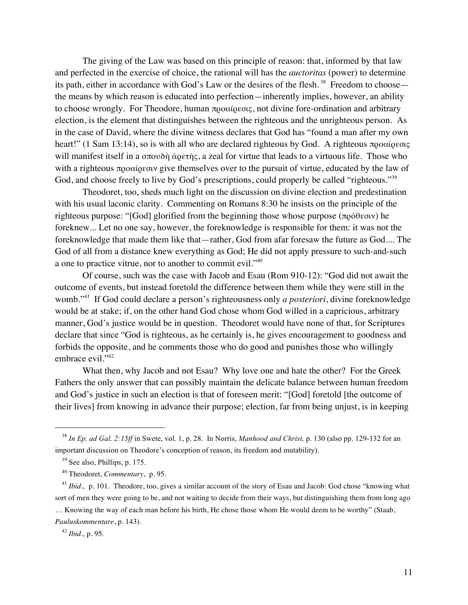The giving of the Law was based on this principle of reason: that, informed by that law and perfected in the exercise of choice, the rational will has the *auctoritas* (power) to determine its path, either in accordance with God's Law or the desires of the flesh.<sup>38</sup> Freedom to choose the means by which reason is educated into perfection—inherently implies, however, an ability to choose wrongly. For Theodore, human προαίρεσις, not divine fore-ordination and arbitrary election, is the element that distinguishes between the righteous and the unrighteous person. As in the case of David, where the divine witness declares that God has "found a man after my own heart!" (1 Sam 13:14), so is with all who are declared righteous by God. A righteous προαίρεσις will manifest itself in a σπουδὴ ἀρετῆς, a zeal for virtue that leads to a virtuous life. Those who with a righteous προαίρεσιν give themselves over to the pursuit of virtue, educated by the law of God, and choose freely to live by God's prescriptions, could properly be called "righteous."<sup>39</sup>

Theodoret, too, sheds much light on the discussion on divine election and predestination with his usual laconic clarity. Commenting on Romans 8:30 he insists on the principle of the righteous purpose: "[God] glorified from the beginning those whose purpose (πρόθεσιν) he foreknew... Let no one say, however, the foreknowledge is responsible for them: it was not the foreknowledge that made them like that—rather, God from afar foresaw the future as God.... The God of all from a distance knew everything as God; He did not apply pressure to such-and-such a one to practice vitrue, nor to another to commit evil."40

Of course, such was the case with Jacob and Esau (Rom 910-12): "God did not await the outcome of events, but instead foretold the difference between them while they were still in the womb."41 If God could declare a person's righteousness only *a posteriori*, divine foreknowledge would be at stake; if, on the other hand God chose whom God willed in a capricious, arbitrary manner, God's justice would be in question. Theodoret would have none of that, for Scriptures declare that since "God is righteous, as he certainly is, he gives encouragement to goodness and forbids the opposite, and he comments those who do good and punishes those who willingly embrace evil."<sup>42</sup>

What then, why Jacob and not Esau? Why love one and hate the other? For the Greek Fathers the only answer that can possibly maintain the delicate balance between human freedom and God's justice in such an election is that of foreseen merit: "[God] foretold [the outcome of their lives] from knowing in advance their purpose; election, far from being unjust, is in keeping

*Pauluskommentare*, p. 143).

 <sup>38</sup> *In Ep. ad Gal. 2:15ff* in Swete, vol. 1, p. 28. In Norris, *Manhood and Christ,* p. 130 (also pp. 129-132 for an important discussion on Theodore's conception of reason, its freedom and mutability).

 $39$  See also, Phillips, p. 175.

<sup>40</sup> Theodoret, *Commentary*, p. 95.

<sup>&</sup>lt;sup>41</sup> *Ibid.*, p. 101. Theodore, too, gives a similar account of the story of Esau and Jacob: God chose "knowing what sort of men they were going to be, and not waiting to decide from their ways, but distinguishing them from long ago … Knowing the way of each man before his birth, He chose those whom He would deem to be worthy" (Staab,

<sup>42</sup> *Ibid.,* p. 95*.*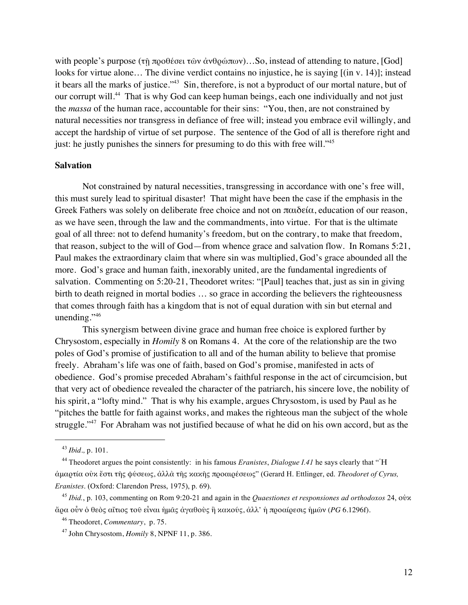with people's purpose (τῆ προθέσει τῶν ἀνθρώπων)...So, instead of attending to nature, [God] looks for virtue alone… The divine verdict contains no injustice, he is saying [(in v. 14)]; instead it bears all the marks of justice."<sup>43</sup> Sin, therefore, is not a byproduct of our mortal nature, but of our corrupt will.<sup>44</sup> That is why God can keep human beings, each one individually and not just the *massa* of the human race, accountable for their sins: "You, then, are not constrained by natural necessities nor transgress in defiance of free will; instead you embrace evil willingly, and accept the hardship of virtue of set purpose. The sentence of the God of all is therefore right and just: he justly punishes the sinners for presuming to do this with free will."<sup>45</sup>

# **Salvation**

Not constrained by natural necessities, transgressing in accordance with one's free will, this must surely lead to spiritual disaster! That might have been the case if the emphasis in the Greek Fathers was solely on deliberate free choice and not on παιδεία, education of our reason, as we have seen, through the law and the commandments, into virtue. For that is the ultimate goal of all three: not to defend humanity's freedom, but on the contrary, to make that freedom, that reason, subject to the will of God—from whence grace and salvation flow. In Romans 5:21, Paul makes the extraordinary claim that where sin was multiplied, God's grace abounded all the more. God's grace and human faith, inexorably united, are the fundamental ingredients of salvation. Commenting on 5:20-21, Theodoret writes: "[Paul] teaches that, just as sin in giving birth to death reigned in mortal bodies … so grace in according the believers the righteousness that comes through faith has a kingdom that is not of equal duration with sin but eternal and unending."<sup>46</sup>

This synergism between divine grace and human free choice is explored further by Chrysostom, especially in *Homily* 8 on Romans 4. At the core of the relationship are the two poles of God's promise of justification to all and of the human ability to believe that promise freely. Abraham's life was one of faith, based on God's promise, manifested in acts of obedience. God's promise preceded Abraham's faithful response in the act of circumcision, but that very act of obedience revealed the character of the patriarch, his sincere love, the nobility of his spirit, a "lofty mind." That is why his example, argues Chrysostom, is used by Paul as he "pitches the battle for faith against works, and makes the righteous man the subject of the whole struggle."<sup>47</sup> For Abraham was not justified because of what he did on his own accord, but as the

 <sup>43</sup> *Ibid.,* p. 101.

<sup>&</sup>lt;sup>44</sup> Theodoret argues the point consistently: in his famous *Eranistes*, *Dialogue I.41* he says clearly that "H ἁμαρτία οὐκ ἔστι τῆς φύσεως, ἀλλὰ τῆς κακῆς προαιρέσεως" (Gerard H. Ettlinger, ed. *Theodoret of Cyrus, Eranistes*. (Oxford: Clarendon Press, 1975), p. 69).

<sup>45</sup> *Ibid.*, p. 103, commenting on Rom 9:20-21 and again in the *Quaestiones et responsiones ad orthodoxos* 24, οὐκ ἄρα οὖν ὁ θεὸς αἴτιος τοῦ εἶναι ἡμᾶς ἀγαθοὺς ἢ κακούς, ἀλλ' ἡ προαίρεσις ἡμῶν (*PG* 6.1296f).

<sup>46</sup> Theodoret, *Commentary*, p. 75.

<sup>47</sup> John Chrysostom, *Homily* 8, NPNF 11, p. 386.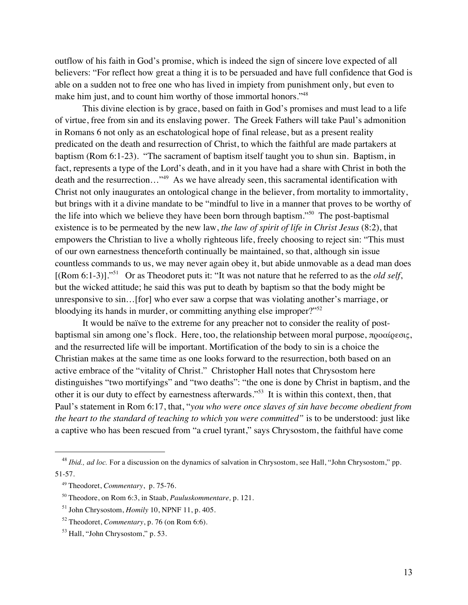outflow of his faith in God's promise, which is indeed the sign of sincere love expected of all believers: "For reflect how great a thing it is to be persuaded and have full confidence that God is able on a sudden not to free one who has lived in impiety from punishment only, but even to make him just, and to count him worthy of those immortal honors."<sup>48</sup>

This divine election is by grace, based on faith in God's promises and must lead to a life of virtue, free from sin and its enslaving power. The Greek Fathers will take Paul's admonition in Romans 6 not only as an eschatological hope of final release, but as a present reality predicated on the death and resurrection of Christ, to which the faithful are made partakers at baptism (Rom 6:1-23). "The sacrament of baptism itself taught you to shun sin. Baptism, in fact, represents a type of the Lord's death, and in it you have had a share with Christ in both the death and the resurrection..."<sup>49</sup> As we have already seen, this sacramental identification with Christ not only inaugurates an ontological change in the believer, from mortality to immortality, but brings with it a divine mandate to be "mindful to live in a manner that proves to be worthy of the life into which we believe they have been born through baptism."50 The post-baptismal existence is to be permeated by the new law, *the law of spirit of life in Christ Jesus* (8:2), that empowers the Christian to live a wholly righteous life, freely choosing to reject sin: "This must of our own earnestness thenceforth continually be maintained, so that, although sin issue countless commands to us, we may never again obey it, but abide unmovable as a dead man does [(Rom 6:1-3)]."51 Or as Theodoret puts it: "It was not nature that he referred to as the *old self*, but the wicked attitude; he said this was put to death by baptism so that the body might be unresponsive to sin…[for] who ever saw a corpse that was violating another's marriage, or bloodying its hands in murder, or committing anything else improper?"<sup>52</sup>

It would be naïve to the extreme for any preacher not to consider the reality of postbaptismal sin among one's flock. Here, too, the relationship between moral purpose, προαίρεσις, and the resurrected life will be important. Mortification of the body to sin is a choice the Christian makes at the same time as one looks forward to the resurrection, both based on an active embrace of the "vitality of Christ." Christopher Hall notes that Chrysostom here distinguishes "two mortifyings" and "two deaths": "the one is done by Christ in baptism, and the other it is our duty to effect by earnestness afterwards."53 It is within this context, then, that Paul's statement in Rom 6:17, that, "*you who were once slaves of sin have become obedient from the heart to the standard of teaching to which you were committed"* is to be understood: just like a captive who has been rescued from "a cruel tyrant," says Chrysostom, the faithful have come

<sup>&</sup>lt;sup>48</sup> *Ibid., ad loc.* For a discussion on the dynamics of salvation in Chrysostom, see Hall, "John Chrysostom," pp. 51-57.

<sup>49</sup> Theodoret, *Commentary*, p. 75-76.

<sup>50</sup> Theodore, on Rom 6:3, in Staab, *Pauluskommentare,* p. 121.

<sup>51</sup> John Chrysostom, *Homily* 10, NPNF 11, p. 405.

<sup>52</sup> Theodoret, *Commentary*, p. 76 (on Rom 6:6).

<sup>53</sup> Hall, "John Chrysostom," p. 53.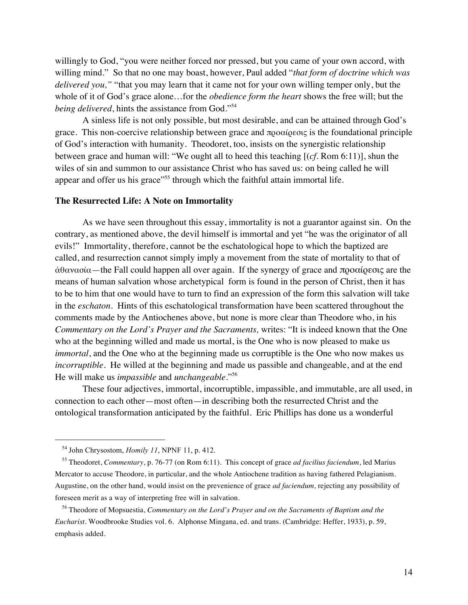willingly to God, "you were neither forced nor pressed, but you came of your own accord, with willing mind." So that no one may boast, however, Paul added "*that form of doctrine which was delivered you,"* "that you may learn that it came not for your own willing temper only, but the whole of it of God's grace alone…for the *obedience form the heart* shows the free will; but the *being delivered*, hints the assistance from God."<sup>54</sup>

A sinless life is not only possible, but most desirable, and can be attained through God's grace. This non-coercive relationship between grace and προαίρεσις is the foundational principle of God's interaction with humanity. Theodoret, too, insists on the synergistic relationship between grace and human will: "We ought all to heed this teaching [(*cf.* Rom 6:11)], shun the wiles of sin and summon to our assistance Christ who has saved us: on being called he will appear and offer us his grace"<sup>55</sup> through which the faithful attain immortal life.

# **The Resurrected Life: A Note on Immortality**

As we have seen throughout this essay, immortality is not a guarantor against sin. On the contrary, as mentioned above, the devil himself is immortal and yet "he was the originator of all evils!" Immortality, therefore, cannot be the eschatological hope to which the baptized are called, and resurrection cannot simply imply a movement from the state of mortality to that of ἀθανασία—the Fall could happen all over again. If the synergy of grace and προαίρεσις are the means of human salvation whose archetypical form is found in the person of Christ, then it has to be to him that one would have to turn to find an expression of the form this salvation will take in the *eschaton*. Hints of this eschatological transformation have been scattered throughout the comments made by the Antiochenes above, but none is more clear than Theodore who, in his *Commentary on the Lord's Prayer and the Sacraments,* writes: "It is indeed known that the One who at the beginning willed and made us mortal, is the One who is now pleased to make us *immortal*, and the One who at the beginning made us corruptible is the One who now makes us *incorruptible*. He willed at the beginning and made us passible and changeable, and at the end He will make us *impassible* and *unchangeable*."56

These four adjectives, immortal, incorruptible, impassible, and immutable, are all used, in connection to each other—most often—in describing both the resurrected Christ and the ontological transformation anticipated by the faithful. Eric Phillips has done us a wonderful

 <sup>54</sup> John Chrysostom, *Homily 11*, NPNF 11, p. 412.

<sup>55</sup> Theodoret, *Commentary*, p. 76-77 (on Rom 6:11). This concept of grace *ad facilius faciendum*, led Marius Mercator to accuse Theodore, in particular, and the whole Antiochene tradition as having fathered Pelagianism. Augustine, on the other hand, would insist on the prevenience of grace *ad faciendum,* rejecting any possibility of foreseen merit as a way of interpreting free will in salvation.

<sup>56</sup> Theodore of Mopsuestia, *Commentary on the Lord's Prayer and on the Sacraments of Baptism and the Eucharist.* Woodbrooke Studies vol. 6. Alphonse Mingana, ed. and trans. (Cambridge: Heffer, 1933), p. 59, emphasis added.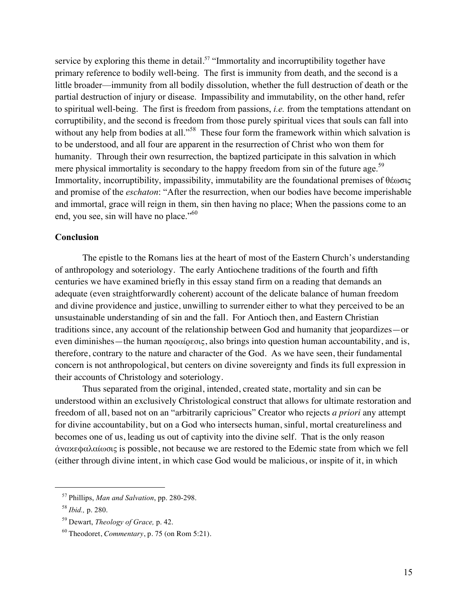service by exploring this theme in detail.<sup>57</sup> "Immortality and incorruptibility together have primary reference to bodily well-being. The first is immunity from death, and the second is a little broader—immunity from all bodily dissolution, whether the full destruction of death or the partial destruction of injury or disease. Impassibility and immutability, on the other hand, refer to spiritual well-being. The first is freedom from passions, *i.e.* from the temptations attendant on corruptibility, and the second is freedom from those purely spiritual vices that souls can fall into without any help from bodies at all."<sup>58</sup> These four form the framework within which salvation is to be understood, and all four are apparent in the resurrection of Christ who won them for humanity. Through their own resurrection, the baptized participate in this salvation in which mere physical immortality is secondary to the happy freedom from sin of the future age.<sup>59</sup> Immortality, incorruptibility, impassibility, immutability are the foundational premises of θέωσις and promise of the *eschaton*: "After the resurrection, when our bodies have become imperishable and immortal, grace will reign in them, sin then having no place; When the passions come to an end, you see, sin will have no place."<sup>60</sup>

# **Conclusion**

The epistle to the Romans lies at the heart of most of the Eastern Church's understanding of anthropology and soteriology. The early Antiochene traditions of the fourth and fifth centuries we have examined briefly in this essay stand firm on a reading that demands an adequate (even straightforwardly coherent) account of the delicate balance of human freedom and divine providence and justice, unwilling to surrender either to what they perceived to be an unsustainable understanding of sin and the fall. For Antioch then, and Eastern Christian traditions since, any account of the relationship between God and humanity that jeopardizes—or even diminishes—the human  $\pi$ ροαίρεσις, also brings into question human accountability, and is, therefore, contrary to the nature and character of the God. As we have seen, their fundamental concern is not anthropological, but centers on divine sovereignty and finds its full expression in their accounts of Christology and soteriology.

Thus separated from the original, intended, created state, mortality and sin can be understood within an exclusively Christological construct that allows for ultimate restoration and freedom of all, based not on an "arbitrarily capricious" Creator who rejects *a priori* any attempt for divine accountability, but on a God who intersects human, sinful, mortal creatureliness and becomes one of us, leading us out of captivity into the divine self. That is the only reason ἀνακεφαλαίωσις is possible, not because we are restored to the Edemic state from which we fell (either through divine intent, in which case God would be malicious, or inspite of it, in which

 <sup>57</sup> Phillips, *Man and Salvation*, pp. 280-298.

<sup>58</sup> *Ibid.,* p. 280.

<sup>59</sup> Dewart, *Theology of Grace,* p. 42.

<sup>60</sup> Theodoret, *Commentary*, p. 75 (on Rom 5:21).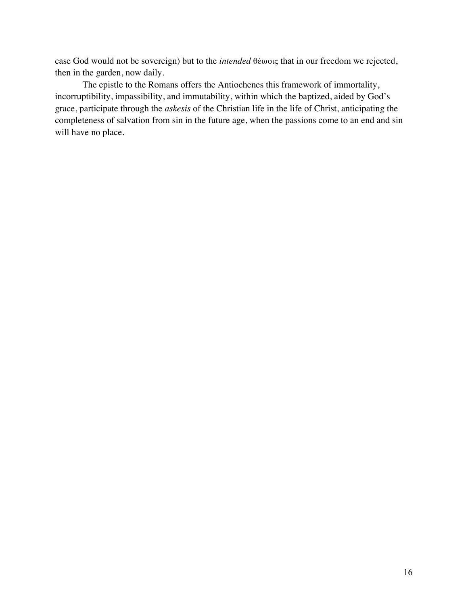case God would not be sovereign) but to the *intended* θέωσις that in our freedom we rejected, then in the garden, now daily.

The epistle to the Romans offers the Antiochenes this framework of immortality, incorruptibility, impassibility, and immutability, within which the baptized, aided by God's grace, participate through the *askesis* of the Christian life in the life of Christ, anticipating the completeness of salvation from sin in the future age, when the passions come to an end and sin will have no place.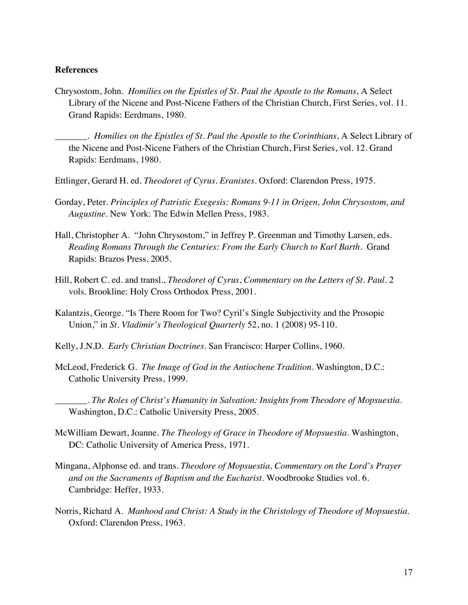# **References**

Chrysostom, John. *Homilies on the Epistles of St. Paul the Apostle to the Romans*, A Select Library of the Nicene and Post-Nicene Fathers of the Christian Church, First Series, vol. 11. Grand Rapids: Eerdmans, 1980.

\_\_\_\_\_\_\_. *Homilies on the Epistles of St. Paul the Apostle to the Corinthians*, A Select Library of the Nicene and Post-Nicene Fathers of the Christian Church, First Series, vol. 12. Grand Rapids: Eerdmans, 1980.

- Ettlinger, Gerard H. ed. *Theodoret of Cyrus. Eranistes*. Oxford: Clarendon Press, 1975.
- Gorday, Peter. *Principles of Patristic Exegesis: Romans 9-11 in Origen, John Chrysostom, and Augustine*. New York: The Edwin Mellen Press, 1983.
- Hall, Christopher A. "John Chrysostom," in Jeffrey P. Greenman and Timothy Larsen, eds. *Reading Romans Through the Centuries: From the Early Church to Karl Barth*. Grand Rapids: Brazos Press, 2005.
- Hill, Robert C. ed. and transl., *Theodoret of Cyrus*, *Commentary on the Letters of St. Paul*. 2 vols. Brookline: Holy Cross Orthodox Press, 2001.
- Kalantzis, George. "Is There Room for Two? Cyril's Single Subjectivity and the Prosopic Union," in *St. Vladimir's Theological Quarterly* 52, no. 1 (2008) 95-110.
- Kelly, J.N.D. *Early Christian Doctrines*. San Francisco: Harper Collins, 1960.
- McLeod, Frederick G. *The Image of God in the Antiochene Tradition*. Washington, D.C.: Catholic University Press, 1999.
	- \_\_\_\_\_\_\_. *The Roles of Christ's Humanity in Salvation: Insights from Theodore of Mopsuestia.*  Washington, D.C.: Catholic University Press, 2005.
- McWilliam Dewart, Joanne. *The Theology of Grace in Theodore of Mopsuestia*. Washington, DC: Catholic University of America Press, 1971.
- Mingana, Alphonse ed. and trans. *Theodore of Mopsuestia, Commentary on the Lord's Prayer and on the Sacraments of Baptism and the Eucharist.* Woodbrooke Studies vol. 6. Cambridge: Heffer, 1933.
- Norris, Richard A. *Manhood and Christ: A Study in the Christology of Theodore of Mopsuestia*. Oxford: Clarendon Press, 1963.